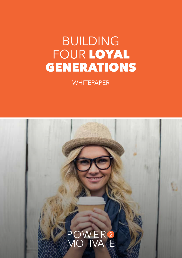# BUILDING FOUR LOYAL GENERATIONS

**WHITEPAPER** 

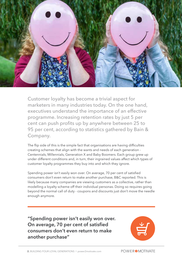

Customer loyalty has become a trivial aspect for marketers in many industries today. On the one hand, executives understand the importance of an effective programme. Increasing retention rates by just 5 per cent can push profits up by anywhere between 25 to 95 per cent, according to statistics gathered by Bain & Company.

The flip side of this is the simple fact that organisations are having difficulties creating schemes that align with the wants and needs of each generation - Centennials, Millennials, Generation X and Baby Boomers. Each group grew up under different conditions and, in turn, their ingrained values affect which types of customer loyalty programmes they buy into and which they ignore.

Spending power isn't easily won over. On average, 70 per cent of satisfied consumers don't even return to make another purchase, B&C reported. This is likely because many companies are viewing customers as a collective, rather than modelling a loyalty scheme off their individual personas. Doing so requires going beyond the normal call of duty - coupons and discounts just don't move the needle enough anymore.

**"Spending power isn't easily won over. On average, 70 per cent of satisfied consumers don't even return to make another purchase"** 

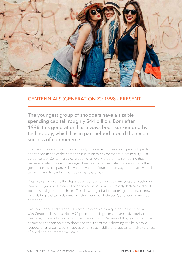

# CENTENNIALS (GENERATION Z): 1998 - PRESENT

The youngest group of shoppers have a sizable spending capital: roughly \$44 billion. Born after 1998, this generation has always been surrounded by technology, which has in part helped mould the recent success of e-commerce

They've also shown waning brand loyalty. Their sole focuses are on product quality and the reputation of the company in relation to environmental sustainability. Just 30 per cent of Centennials view a traditional loyalty program as something that makes a retailer unique in their eyes, Ernst and Young reported. More so than other generations, a company will have to develop unique and fun ways to interact with this group if it wants to retain them as repeat customers.

Retailers can appeal to the digital aspect of Centennials by gamifying their customer loyalty programme. Instead of offering coupons or members-only flash sales, allocate points that align with purchases. This allows organisations to bring on a slew of new rewards targeted towards enriching the interaction between Generation Z and your company.

Exclusive concert tickets and VIP access to events are unique prizes that align well with Centennials' habits. Nearly 90 per cent of this generation are active during their free time, instead of sitting around, according to EY. Because of this, giving them the chance to use their points to donate to charities of their choosing can help prove respect for an organisations' reputation on sustainability and appeal to their awareness of social and environmental issues.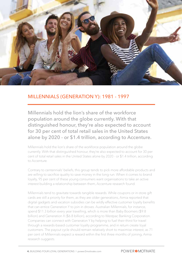

# MILLENNIALS (GENERATION Y): 1981 - 1997

Millennials hold the lion's share of the workforce population around the globe currently. With that distinguished honour, they're also expected to account for 30 per cent of total retail sales in the United States alone by 2020 - or \$1.4 trillion, according to Accenture.

Millennials hold the lion's share of the workforce population around the globe currently. With that distinguished honour, they're also expected to account for 30 per cent of total retail sales in the United States alone by 2020 - or \$1.4 trillion, according to Accenture.

Contrary to centennials' beliefs, this group tends to pick more affordable products and are willing to sacrifice quality to save money in the long run. When it comes to brand loyalty, 95 per cent of these young consumers want organisations to take an active interest building a relationship between them, Accenture research found.

Millennials tend to gravitate towards tangible rewards. While coupons or in-store gift cards are still a priority for them, as they are older generations, Aimia reported that digital gadgets and vacation subsidies can be wildly effective customer loyalty benefits that can entice Generation Y to join in droves. Australian Millennials, for instance, spend \$11.3 billion every year travelling, which is more than Baby Boomers (\$9.8 billion) and Generation X (\$6.8 billion), according to Westpac Banking Corporation. Companies can connect with Generaton Y by helping to fuel their thirst for travel through a rewards-based customer loyalty programme, and in return create loyal customers. The payout cycle should remain relatively short to maximise interest, as 71 per cent of Millennials expect a reward within the first three months of joining, Aimia research suggests.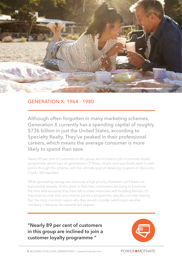

## GENERATION X: 1964 - 1980

Although often forgotten in many marketing schemes, Generation X currently has a spending capital of roughly \$736 billion in just the United States, according to Specialty Realty. They've peaked in their professional careers, which means the average consumer is more likely to spend than save.

Nearly 89 per cent of customers in this group are inclined to join a customer loyalty programme, which tops all generations. Of those, 56 per cent specifically want to earn points through this scheme, with the ultimate goal of obtaining coupons or discounts, Loyalty 360 reported.

While generating savings are obviously a high priority, marketers can't leave out experiential rewards. At this point in their lives, consumers are trying to maximise the time and resources they have left to make memories with budding families. It's important to note that once they've joined a programme, very few consider leaving. But, the most common reason why they would consider switching to another company is because the rewards lack appeal.

**"Nearly 89 per cent of customers in this group are inclined to join a customer loyalty programme "** 

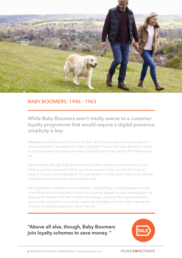

### BABY BOOMERS: 1946 - 1963

While Baby Boomers aren't totally averse to a customer loyalty programme that would require a digital presence, simplicity is key.

Marketers would be wise to hone in on their ability to use experiential rewards as a value proposition, according to Forbes. Highlight the fact that a trip abroad or tickets to a unique event are adventures that could help them cross items off of their bucket list.

Above all else, though, Baby Boomers join loyalty schemes to save money. In turn, making sure the speed with which points are earned match up with the financial value is of paramount importance. This generation is more patient than most, but the programme must provide a quick payout cycle.

Each generation has their wants and needs, and building a loyalty programme that covers them all is no easy feat. Ensure your scheme appeals to each demographic by aligning the rewards with the mindset the average consumer that age would have. Just as well, trial by fire can provide meaningful feedback that can help improve the chances of retaining customers down the line.

# **"Above all else, though, Baby Boomers join loyalty schemes to save money. "**